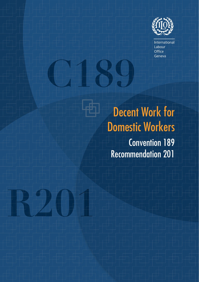

International Labour Office Geneva

# Decent Work for Domestic Workers Convention 189 Recommendation 201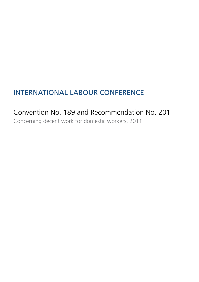# INTERNATIONAL LABOUR CONFERENCE

Convention No. 189 and Recommendation No. 201 Concerning decent work for domestic workers, 2011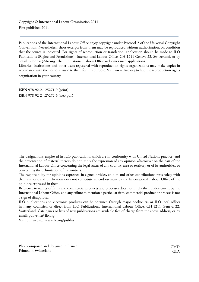Publications of the International Labour Office enjoy copyright under Protocol 2 of the Universal Copyright Convention. Nevertheless, short excerpts from them may be reproduced without authorization, on condition that the source is indicated. For rights of reproduction or translation, application should be made to ILO Publications (Rights and Permissions), International Labour Office, CH-1211 Geneva 22, Switzerland, or by email: pubdroit@ilo.org. The International Labour Office welcomes such applications.

Libraries, institutions and other users registered with reproduction rights organizations may make copies in accordance with the licences issued to them for this purpose. Visit www.ifrro.org to find the reproduction rights organization in your country.

ISBN 978-92-2-125271-9 (print) ISBN 978-92-2-125272-6 (web pdf)

The designations employed in ILO publications, which are in conformity with United Nations practice, and the presentation of material therein do not imply the expression of any opinion whatsoever on the part of the International Labour Office concerning the legal status of any country, area or territory or of its authorities, or concerning the delimitation of its frontiers.

The responsibility for opinions expressed in signed articles, studies and other contributions rests solely with their authors, and publication does not constitute an endorsement by the International Labour Office of the opinions expressed in them.

Reference to names of firms and commercial products and processes does not imply their endorsement by the International Labour Office, and any failure to mention a particular firm, commercial product or process is not a sign of disapproval.

ILO publications and electronic products can be obtained through major booksellers or ILO local offices in many countries, or direct from ILO Publications, International Labour Office, CH-1211 Geneva 22, Switzerland. Catalogues or lists of new publications are available free of charge from the above address, or by email: pubvente@ilo.org

Visit our website: www.ilo.org/publns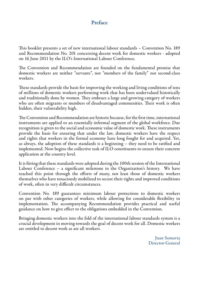# Preface

This booklet presents a set of new international labour standards – Convention No. 189 and Recommendation No. 201 concerning decent work for domestic workers - adopted on 16 June 2011 by the ILO's International Labour Conference.

The Convention and Recommendation are founded on the fundamental premise that domestic workers are neither "servants", nor "members of the family" nor second-class workers.

These standards provide the basis for improving the working and living conditions of tens of millions of domestic workers performing work that has been undervalued historically and traditionally done by women. They embrace a large and growing category of workers who are often migrants or members of disadvantaged communities. Their work is often hidden, their vulnerability high.

The Convention and Recommendation are historic because, for the first time, international instruments are applied to an essentially informal segment of the global workforce. Due recognition is given to the social and economic value of domestic work. These instruments provide the basis for ensuring that under the law, domestic workers have the respect and rights that workers in the formal economy have long fought for and acquired. Yet, as always, the adoption of these standards is a beginning – they need to be ratified and implemented. Now begins the collective task of ILO constituents to ensure their concrete application at the country level.

It is fitting that these standards were adopted during the 100th session of the International Labour Conference – a significant milestone in the Organization's history. We have reached this point through the efforts of many, not least those of domestic workers themselves who have tenaciously mobilized to secure their rights and improved conditions of work, often in very difficult circumstances.

Convention No. 189 guarantees minimum labour protections to domestic workers on par with other categories of workers, while allowing for considerable flexibility in implementation. The accompanying Recommendation provides practical and useful guidance on how to give effect to the obligations embedded in the Convention.

Bringing domestic workers into the fold of the international labour standards system is a crucial development in moving towards the goal of decent work for all. Domestic workers are entitled to decent work as are all workers.

> Juan Somavia Director-General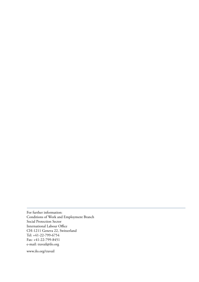For further information: Conditions of Work and Employment Branch Social Protection Sector International Labour Office CH-1211 Geneva 22, Switzerland Tel: +41-22-799-6754 Fax: +41-22-799-8451 e-mail: travail@ilo.org

www.ilo.org/travail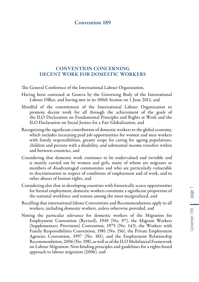# Convention 189

### CONVENTION CONCERNING DECENT WORK FOR DOMESTIC WORKERS

The General Conference of the International Labour Organization,

- Having been convened at Geneva by the Governing Body of the International Labour Office, and having met in its 100th Session on 1 June 2011, and
- Mindful of the commitment of the International Labour Organization to promote decent work for all through the achievement of the goals of the ILO Declaration on Fundamental Principles and Rights at Work and the ILO Declaration on Social Justice for a Fair Globalization, and
- Recognizing the significant contribution of domestic workers to the global economy, which includes increasing paid job opportunities for women and men workers with family responsibilities, greater scope for caring for ageing populations, children and persons with a disability, and substantial income transfers within and between countries, and
- Considering that domestic work continues to be undervalued and invisible and is mainly carried out by women and girls, many of whom are migrants or members of disadvantaged communities and who are particularly vulnerable to discrimination in respect of conditions of employment and of work, and to other abuses of human rights, and
- Considering also that in developing countries with historically scarce opportunities for formal employment, domestic workers constitute a significant proportion of the national workforce and remain among the most marginalized, and
- Recalling that international labour Conventions and Recommendations apply to all workers, including domestic workers, unless otherwise provided, and
- Noting the particular relevance for domestic workers of the Migration for Employment Convention (Revised), 1949 (No. 97), the Migrant Workers (Supplementary Provisions) Convention, 1975 (No. 143), the Workers with Family Responsibilities Convention, 1981 (No. 156), the Private Employment Agencies Convention, 1997 (No. 181), and the Employment Relationship Recommendation, 2006 (No. 198), as well as of the ILO Multilateral Framework on Labour Migration: Non-binding principles and guidelines for a rights-based approach to labour migration (2006), and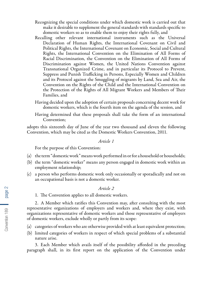- Recognizing the special conditions under which domestic work is carried out that make it desirable to supplement the general standards with standards specific to domestic workers so as to enable them to enjoy their rights fully, and
- Recalling other relevant international instruments such as the Universal Declaration of Human Rights, the International Covenant on Civil and Political Rights, the International Covenant on Economic, Social and Cultural Rights, the International Convention on the Elimination of All Forms of Racial Discrimination, the Convention on the Elimination of All Forms of Discrimination against Women, the United Nations Convention against Transnational Organized Crime, and in particular its Protocol to Prevent, Suppress and Punish Trafficking in Persons, Especially Women and Children and its Protocol against the Smuggling of migrants by Land, Sea and Air, the Convention on the Rights of the Child and the International Convention on the Protection of the Rights of All Migrant Workers and Members of Their Families, and
- Having decided upon the adoption of certain proposals concerning decent work for domestic workers, which is the fourth item on the agenda of the session, and
- Having determined that these proposals shall take the form of an international Convention;

adopts this sixteenth day of June of the year two thousand and eleven the following Convention, which may be cited as the Domestic Workers Convention, 2011.

#### *Article 1*

For the purpose of this Convention:

- (a) the term "domestic work" means work performed in or for a household or households;
- (b) the term "domestic worker" means any person engaged in domestic work within an employment relationship;
- (c) a person who performs domestic work only occasionally or sporadically and not on an occupational basis is not a domestic worker.

#### *Article 2*

1. The Convention applies to all domestic workers.

2. A Member which ratifies this Convention may, after consulting with the most representative organizations of employers and workers and, where they exist, with organizations representative of domestic workers and those representative of employers of domestic workers, exclude wholly or partly from its scope:

- (a) categories of workers who are otherwise provided with at least equivalent protection;
- (b) limited categories of workers in respect of which special problems of a substantial nature arise.

3. Each Member which avails itself of the possibility afforded in the preceding paragraph shall, in its first report on the application of the Convention under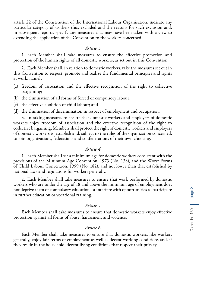article 22 of the Constitution of the International Labour Organisation, indicate any particular category of workers thus excluded and the reasons for such exclusion and, in subsequent reports, specify any measures that may have been taken with a view to extending the application of the Convention to the workers concerned.

#### *Article 3*

1. Each Member shall take measures to ensure the effective promotion and protection of the human rights of all domestic workers, as set out in this Convention.

2. Each Member shall, in relation to domestic workers, take the measures set out in this Convention to respect, promote and realize the fundamental principles and rights at work, namely:

- (a) freedom of association and the effective recognition of the right to collective bargaining;
- (b) the elimination of all forms of forced or compulsory labour;
- (c) the effective abolition of child labour; and
- (d) the elimination of discrimination in respect of employment and occupation.

3. In taking measures to ensure that domestic workers and employers of domestic workers enjoy freedom of association and the effective recognition of the right to collective bargaining, Members shall protect the right of domestic workers and employers of domestic workers to establish and, subject to the rules of the organization concerned, to join organizations, federations and confederations of their own choosing.

#### *Article 4*

1. Each Member shall set a minimum age for domestic workers consistent with the provisions of the Minimum Age Convention, 1973 (No. 138), and the Worst Forms of Child Labour Convention, 1999 (No. 182), and not lower than that established by national laws and regulations for workers generally.

2. Each Member shall take measures to ensure that work performed by domestic workers who are under the age of 18 and above the minimum age of employment does not deprive them of compulsory education, or interfere with opportunities to participate in further education or vocational training.

#### *Article 5*

Each Member shall take measures to ensure that domestic workers enjoy effective protection against all forms of abuse, harassment and violence.

#### *Article 6*

Each Member shall take measures to ensure that domestic workers, like workers generally, enjoy fair terms of employment as well as decent working conditions and, if they reside in the household, decent living conditions that respect their privacy.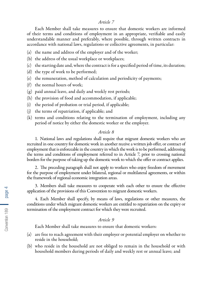#### *Article 7*

Each Member shall take measures to ensure that domestic workers are informed of their terms and conditions of employment in an appropriate, verifiable and easily understandable manner and preferably, where possible, through written contracts in accordance with national laws, regulations or collective agreements, in particular:

- (a) the name and address of the employer and of the worker;
- (b) the address of the usual workplace or workplaces;
- (c) the starting date and, where the contract is for a specified period of time, its duration;
- (d) the type of work to be performed;
- (e) the remuneration, method of calculation and periodicity of payments;
- (f) the normal hours of work;
- (g) paid annual leave, and daily and weekly rest periods;
- (h) the provision of food and accommodation, if applicable;
- (i) the period of probation or trial period, if applicable;
- (j) the terms of repatriation, if applicable; and
- (k) terms and conditions relating to the termination of employment, including any period of notice by either the domestic worker or the employer.

#### *Article 8*

1. National laws and regulations shall require that migrant domestic workers who are recruited in one country for domestic work in another receive a written job offer, or contract of employment that is enforceable in the country in which the work is to be performed, addressing the terms and conditions of employment referred to in Article 7, prior to crossing national borders for the purpose of taking up the domestic work to which the offer or contract applies.

2. The preceding paragraph shall not apply to workers who enjoy freedom of movement for the purpose of employment under bilateral, regional or multilateral agreements, or within the framework of regional economic integration areas.

3. Members shall take measures to cooperate with each other to ensure the effective application of the provisions of this Convention to migrant domestic workers.

4. Each Member shall specify, by means of laws, regulations or other measures, the conditions under which migrant domestic workers are entitled to repatriation on the expiry or termination of the employment contract for which they were recruited.

#### *Article 9*

Each Member shall take measures to ensure that domestic workers:

- (a) are free to reach agreement with their employer or potential employer on whether to reside in the household;
- (b) who reside in the household are not obliged to remain in the household or with household members during periods of daily and weekly rest or annual leave; and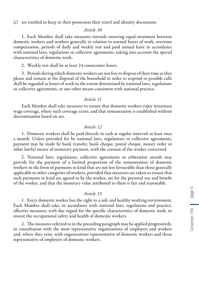(c) are entitled to keep in their possession their travel and identity documents.

#### *Article 10*

1. Each Member shall take measures towards ensuring equal treatment between domestic workers and workers generally in relation to normal hours of work, overtime compensation, periods of daily and weekly rest and paid annual leave in accordance with national laws, regulations or collective agreements, taking into account the special characteristics of domestic work.

2. Weekly rest shall be at least 24 consecutive hours.

3. Periods during which domestic workers are not free to dispose of their time as they please and remain at the disposal of the household in order to respond to possible calls shall be regarded as hours of work to the extent determined by national laws, regulations or collective agreements, or any other means consistent with national practice.

#### *Article 11*

Each Member shall take measures to ensure that domestic workers enjoy minimum wage coverage, where such coverage exists, and that remuneration is established without discrimination based on sex.

#### *Article 12*

1. Domestic workers shall be paid directly in cash at regular intervals at least once a month. Unless provided for by national laws, regulations or collective agreements, payment may be made by bank transfer, bank cheque, postal cheque, money order or other lawful means of monetary payment, with the consent of the worker concerned.

2. National laws, regulations, collective agreements or arbitration awards may provide for the payment of a limited proportion of the remuneration of domestic workers in the form of payments in kind that are not less favourable than those generally applicable to other categories of workers, provided that measures are taken to ensure that such payments in kind are agreed to by the worker, are for the personal use and benefit of the worker, and that the monetary value attributed to them is fair and reasonable.

#### *Article 13*

1. Every domestic worker has the right to a safe and healthy working environment. Each Member shall take, in accordance with national laws, regulations and practice, effective measures, with due regard for the specific characteristics of domestic work, to ensure the occupational safety and health of domestic workers.

2. The measures referred to in the preceding paragraph may be applied progressively, in consultation with the most representative organizations of employers and workers and, where they exist, with organizations representative of domestic workers and those representative of employers of domestic workers.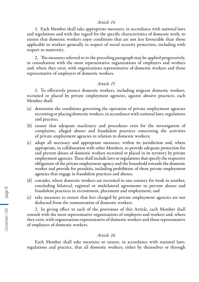#### *Article 14*

1. Each Member shall take appropriate measures, in accordance with national laws and regulations and with due regard for the specific characteristics of domestic work, to ensure that domestic workers enjoy conditions that are not less favourable than those applicable to workers generally in respect of social security protection, including with respect to maternity.

2. The measures referred to in the preceding paragraph may be applied progressively, in consultation with the most representative organizations of employers and workers and, where they exist, with organizations representative of domestic workers and those representative of employers of domestic workers.

#### *Article 15*

1. To effectively protect domestic workers, including migrant domestic workers, recruited or placed by private employment agencies, against abusive practices, each Member shall:

- (a) determine the conditions governing the operation of private employment agencies recruiting or placing domestic workers, in accordance with national laws, regulations and practice;
- (b) ensure that adequate machinery and procedures exist for the investigation of complaints, alleged abuses and fraudulent practices concerning the activities of private employment agencies in relation to domestic workers;
- (c) adopt all necessary and appropriate measures, within its jurisdiction and, where appropriate, in collaboration with other Members, to provide adequate protection for and prevent abuses of domestic workers recruited or placed in its territory by private employment agencies. These shall include laws or regulations that specify the respective obligations of the private employment agency and the household towards the domestic worker and provide for penalties, including prohibition of those private employment agencies that engage in fraudulent practices and abuses;
- (d) consider, where domestic workers are recruited in one country for work in another, concluding bilateral, regional or multilateral agreements to prevent abuses and fraudulent practices in recruitment, placement and employment; and
- (e) take measures to ensure that fees charged by private employment agencies are not deducted from the remuneration of domestic workers.

2. In giving effect to each of the provisions of this Article, each Member shall consult with the most representative organizations of employers and workers and, where they exist, with organizations representative of domestic workers and those representative of employers of domestic workers.

#### *Article 16*

Each Member shall take measures to ensure, in accordance with national laws, regulations and practice, that all domestic workers, either by themselves or through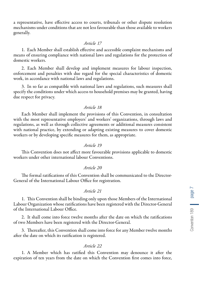a representative, have effective access to courts, tribunals or other dispute resolution mechanisms under conditions that are not less favourable than those available to workers generally.

#### *Article 17*

1. Each Member shall establish effective and accessible complaint mechanisms and means of ensuring compliance with national laws and regulations for the protection of domestic workers.

2. Each Member shall develop and implement measures for labour inspection, enforcement and penalties with due regard for the special characteristics of domestic work, in accordance with national laws and regulations.

3. In so far as compatible with national laws and regulations, such measures shall specify the conditions under which access to household premises may be granted, having due respect for privacy.

#### *Article 18*

Each Member shall implement the provisions of this Convention, in consultation with the most representative employers' and workers' organizations, through laws and regulations, as well as through collective agreements or additional measures consistent with national practice, by extending or adapting existing measures to cover domestic workers or by developing specific measures for them, as appropriate.

#### *Article 19*

This Convention does not affect more favourable provisions applicable to domestic workers under other international labour Conventions.

#### *Article 20*

The formal ratifications of this Convention shall be communicated to the Director-General of the International Labour Office for registration.

#### *Article 21*

1. This Convention shall be binding only upon those Members of the International Labour Organization whose ratifications have been registered with the Director-General of the International Labour Office.

2. It shall come into force twelve months after the date on which the ratifications of two Members have been registered with the Director-General.

3. Thereafter, this Convention shall come into force for any Member twelve months after the date on which its ratification is registered.

#### *Article 22*

1. A Member which has ratified this Convention may denounce it after the expiration of ten years from the date on which the Convention first comes into force,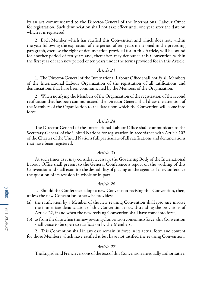by an act communicated to the Director-General of the International Labour Office for registration. Such denunciation shall not take effect until one year after the date on which it is registered.

2. Each Member which has ratified this Convention and which does not, within the year following the expiration of the period of ten years mentioned in the preceding paragraph, exercise the right of denunciation provided for in this Article, will be bound for another period of ten years and, thereafter, may denounce this Convention within the first year of each new period of ten years under the terms provided for in this Article.

#### *Article 23*

1. The Director-General of the International Labour Office shall notify all Members of the International Labour Organization of the registration of all ratifications and denunciations that have been communicated by the Members of the Organization.

2. When notifying the Members of the Organization of the registration of the second ratification that has been communicated, the Director-General shall draw the attention of the Members of the Organization to the date upon which the Convention will come into force.

#### *Article 24*

The Director-General of the International Labour Office shall communicate to the Secretary-General of the United Nations for registration in accordance with Article 102 of the Charter of the United Nations full particulars of all ratifications and denunciations that have been registered.

#### *Article 25*

At such times as it may consider necessary, the Governing Body of the International Labour Office shall present to the General Conference a report on the working of this Convention and shall examine the desirability of placing on the agenda of the Conference the question of its revision in whole or in part.

#### *Article 26*

1. Should the Conference adopt a new Convention revising this Convention, then, unless the new Convention otherwise provides:

- (a) the ratification by a Member of the new revising Convention shall ipso jure involve the immediate denunciation of this Convention, notwithstanding the provisions of Article 22, if and when the new revising Convention shall have come into force;
- (b) as from the date when the new revising Convention comes into force, this Convention shall cease to be open to ratification by the Members.

2. This Convention shall in any case remain in force in its actual form and content for those Members which have ratified it but have not ratified the revising Convention.

#### *Article 27*

The English and French versions of the text of this Convention are equally authoritative.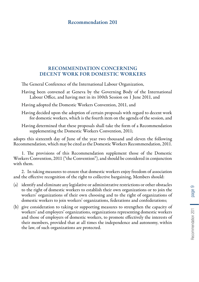# Recommendation 201

## RECOMMENDATION CONCERNING DECENT WORK FOR DOMESTIC WORKERS

The General Conference of the International Labour Organization,

Having been convened at Geneva by the Governing Body of the International Labour Office, and having met in its 100th Session on 1 June 2011, and

Having adopted the Domestic Workers Convention, 2011, and

Having decided upon the adoption of certain proposals with regard to decent work for domestic workers, which is the fourth item on the agenda of the session, and

Having determined that these proposals shall take the form of a Recommendation supplementing the Domestic Workers Convention, 2011;

adopts this sixteenth day of June of the year two thousand and eleven the following Recommendation, which may be cited as the Domestic Workers Recommendation, 2011.

1. The provisions of this Recommendation supplement those of the Domestic Workers Convention, 2011 ("the Convention"), and should be considered in conjunction with them.

2. In taking measures to ensure that domestic workers enjoy freedom of association and the effective recognition of the right to collective bargaining, Members should:

- (a) identify and eliminate any legislative or administrative restrictions or other obstacles to the right of domestic workers to establish their own organizations or to join the workers' organizations of their own choosing and to the right of organizations of domestic workers to join workers' organizations, federations and confederations;
- (b) give consideration to taking or supporting measures to strengthen the capacity of workers' and employers' organizations, organizations representing domestic workers and those of employers of domestic workers, to promote effectively the interests of their members, provided that at all times the independence and autonomy, within the law, of such organizations are protected.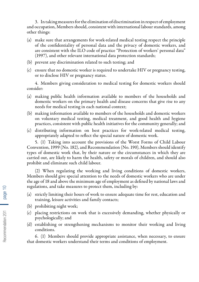3. In taking measures for the elimination of discrimination in respect of employment and occupation, Members should, consistent with international labour standards, among other things:

- (a) make sure that arrangements for work-related medical testing respect the principle of the confidentiality of personal data and the privacy of domestic workers, and are consistent with the ILO code of practice "Protection of workers' personal data" (1997), and other relevant international data protection standards;
- (b) prevent any discrimination related to such testing; and
- (c) ensure that no domestic worker is required to undertake HIV or pregnancy testing, or to disclose HIV or pregnancy status.

4. Members giving consideration to medical testing for domestic workers should consider:

- (a) making public health information available to members of the households and domestic workers on the primary health and disease concerns that give rise to any needs for medical testing in each national context;
- (b) making information available to members of the households and domestic workers on voluntary medical testing, medical treatment, and good health and hygiene practices, consistent with public health initiatives for the community generally; and
- (c) distributing information on best practices for work-related medical testing, appropriately adapted to reflect the special nature of domestic work.

5. (1) Taking into account the provisions of the Worst Forms of Child Labour Convention, 1999 (No. 182), and Recommendation (No. 190), Members should identify types of domestic work that, by their nature or the circumstances in which they are carried out, are likely to harm the health, safety or morals of children, and should also prohibit and eliminate such child labour.

(2) When regulating the working and living conditions of domestic workers, Members should give special attention to the needs of domestic workers who are under the age of 18 and above the minimum age of employment as defined by national laws and regulations, and take measures to protect them, including by:

- (a) strictly limiting their hours of work to ensure adequate time for rest, education and training, leisure activities and family contacts;
- (b) prohibiting night work;
- (c) placing restrictions on work that is excessively demanding, whether physically or psychologically; and
- (d) establishing or strengthening mechanisms to monitor their working and living conditions.

6. (1) Members should provide appropriate assistance, when necessary, to ensure that domestic workers understand their terms and conditions of employment.

Recommendation 201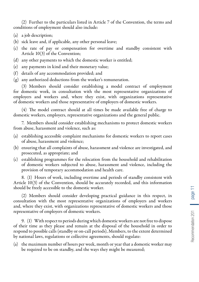(2) Further to the particulars listed in Article 7 of the Convention, the terms and conditions of employment should also include:

- (a) a job description;
- (b) sick leave and, if applicable, any other personal leave;
- (c) the rate of pay or compensation for overtime and standby consistent with Article 10(3) of the Convention;
- (d) any other payments to which the domestic worker is entitled;
- (e) any payments in kind and their monetary value;
- (f) details of any accommodation provided; and
- (g) any authorized deductions from the worker's remuneration.

(3) Members should consider establishing a model contract of employment for domestic work, in consultation with the most representative organizations of employers and workers and, where they exist, with organizations representative of domestic workers and those representative of employers of domestic workers.

(4) The model contract should at all times be made available free of charge to domestic workers, employers, representative organizations and the general public.

7. Members should consider establishing mechanisms to protect domestic workers from abuse, harassment and violence, such as:

- (a) establishing accessible complaint mechanisms for domestic workers to report cases of abuse, harassment and violence;
- (b) ensuring that all complaints of abuse, harassment and violence are investigated, and prosecuted, as appropriate; and
- (c) establishing programmes for the relocation from the household and rehabilitation of domestic workers subjected to abuse, harassment and violence, including the provision of temporary accommodation and health care.

8. (1) Hours of work, including overtime and periods of standby consistent with Article 10(3) of the Convention, should be accurately recorded, and this information should be freely accessible to the domestic worker.

(2) Members should consider developing practical guidance in this respect, in consultation with the most representative organizations of employers and workers and, where they exist, with organizations representative of domestic workers and those representative of employers of domestic workers.

9. (1) With respect to periods during which domestic workers are not free to dispose of their time as they please and remain at the disposal of the household in order to respond to possible calls (standby or on-call periods), Members, to the extent determined by national laws, regulations or collective agreements, should regulate:

(a) the maximum number of hours per week, month or year that a domestic worker may be required to be on standby, and the ways they might be measured;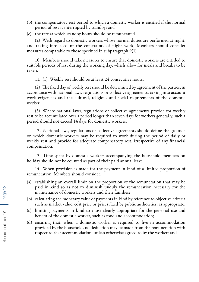- (b) the compensatory rest period to which a domestic worker is entitled if the normal period of rest is interrupted by standby; and
- (c) the rate at which standby hours should be remunerated.

(2) With regard to domestic workers whose normal duties are performed at night, and taking into account the constraints of night work, Members should consider measures comparable to those specified in subparagraph 9(1).

10. Members should take measures to ensure that domestic workers are entitled to suitable periods of rest during the working day, which allow for meals and breaks to be taken.

11. (1) Weekly rest should be at least 24 consecutive hours.

(2) The fixed day of weekly rest should be determined by agreement of the parties, in accordance with national laws, regulations or collective agreements, taking into account work exigencies and the cultural, religious and social requirements of the domestic worker.

(3) Where national laws, regulations or collective agreements provide for weekly rest to be accumulated over a period longer than seven days for workers generally, such a period should not exceed 14 days for domestic workers.

12. National laws, regulations or collective agreements should define the grounds on which domestic workers may be required to work during the period of daily or weekly rest and provide for adequate compensatory rest, irrespective of any financial compensation.

13. Time spent by domestic workers accompanying the household members on holiday should not be counted as part of their paid annual leave.

14. When provision is made for the payment in kind of a limited proportion of remuneration, Members should consider:

- (a) establishing an overall limit on the proportion of the remuneration that may be paid in kind so as not to diminish unduly the remuneration necessary for the maintenance of domestic workers and their families;
- (b) calculating the monetary value of payments in kind by reference to objective criteria such as market value, cost price or prices fixed by public authorities, as appropriate;
- (c) limiting payments in kind to those clearly appropriate for the personal use and benefit of the domestic worker, such as food and accommodation;
- (d) ensuring that, when a domestic worker is required to live in accommodation provided by the household, no deduction may be made from the remuneration with respect to that accommodation, unless otherwise agreed to by the worker; and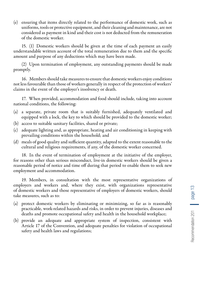(e) ensuring that items directly related to the performance of domestic work, such as uniforms, tools or protective equipment, and their cleaning and maintenance, are not considered as payment in kind and their cost is not deducted from the remuneration of the domestic worker.

15. (1) Domestic workers should be given at the time of each payment an easily understandable written account of the total remuneration due to them and the specific amount and purpose of any deductions which may have been made.

(2) Upon termination of employment, any outstanding payments should be made promptly.

16. Members should take measures to ensure that domestic workers enjoy conditions not less favourable than those of workers generally in respect of the protection of workers' claims in the event of the employer's insolvency or death.

17. When provided, accommodation and food should include, taking into account national conditions, the following:

- (a) a separate, private room that is suitably furnished, adequately ventilated and equipped with a lock, the key to which should be provided to the domestic worker;
- (b) access to suitable sanitary facilities, shared or private;
- (c) adequate lighting and, as appropriate, heating and air conditioning in keeping with prevailing conditions within the household; and
- (d) meals of good quality and sufficient quantity, adapted to the extent reasonable to the cultural and religious requirements, if any, of the domestic worker concerned.

18. In the event of termination of employment at the initiative of the employer, for reasons other than serious misconduct, live-in domestic workers should be given a reasonable period of notice and time off during that period to enable them to seek new employment and accommodation.

19. Members, in consultation with the most representative organizations of employers and workers and, where they exist, with organizations representative of domestic workers and those representative of employers of domestic workers, should take measures, such as to:

- (a) protect domestic workers by eliminating or minimizing, so far as is reasonably practicable, work-related hazards and risks, in order to prevent injuries, diseases and deaths and promote occupational safety and health in the household workplace;
- (b) provide an adequate and appropriate system of inspection, consistent with Article 17 of the Convention, and adequate penalties for violation of occupational safety and health laws and regulations;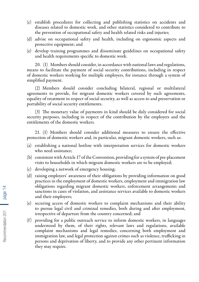- (c) establish procedures for collecting and publishing statistics on accidents and diseases related to domestic work, and other statistics considered to contribute to the prevention of occupational safety and health related risks and injuries;
- (d) advise on occupational safety and health, including on ergonomic aspects and protective equipment; and
- (e) develop training programmes and disseminate guidelines on occupational safety and health requirements specific to domestic work.

20. (1) Members should consider, in accordance with national laws and regulations, means to facilitate the payment of social security contributions, including in respect of domestic workers working for multiple employers, for instance through a system of simplified payment.

(2) Members should consider concluding bilateral, regional or multilateral agreements to provide, for migrant domestic workers covered by such agreements, equality of treatment in respect of social security, as well as access to and preservation or portability of social security entitlements.

(3) The monetary value of payments in kind should be duly considered for social security purposes, including in respect of the contribution by the employers and the entitlements of the domestic workers.

21. (1) Members should consider additional measures to ensure the effective protection of domestic workers and, in particular, migrant domestic workers, such as:

- (a) establishing a national hotline with interpretation services for domestic workers who need assistance;
- (b) consistent with Article 17 of the Convention, providing for a system of pre-placement visits to households in which migrant domestic workers are to be employed;
- (c) developing a network of emergency housing;
- (d) raising employers' awareness of their obligations by providing information on good practices in the employment of domestic workers, employment and immigration law obligations regarding migrant domestic workers, enforcement arrangements and sanctions in cases of violation, and assistance services available to domestic workers and their employers;
- (e) securing access of domestic workers to complaint mechanisms and their ability to pursue legal civil and criminal remedies, both during and after employment, irrespective of departure from the country concerned; and
- (f) providing for a public outreach service to inform domestic workers, in languages understood by them, of their rights, relevant laws and regulations, available complaint mechanisms and legal remedies, concerning both employment and immigration law, and legal protection against crimes such as violence, trafficking in persons and deprivation of liberty, and to provide any other pertinent information they may require.

Recommendation 201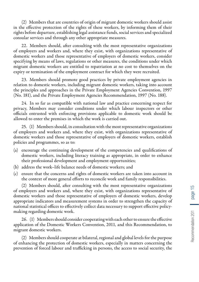(2) Members that are countries of origin of migrant domestic workers should assist in the effective protection of the rights of these workers, by informing them of their rights before departure, establishing legal assistance funds, social services and specialized consular services and through any other appropriate measures.

22. Members should, after consulting with the most representative organizations of employers and workers and, where they exist, with organizations representative of domestic workers and those representative of employers of domestic workers, consider specifying by means of laws, regulations or other measures, the conditions under which migrant domestic workers are entitled to repatriation at no cost to themselves on the expiry or termination of the employment contract for which they were recruited.

23. Members should promote good practices by private employment agencies in relation to domestic workers, including migrant domestic workers, taking into account the principles and approaches in the Private Employment Agencies Convention, 1997 (No. 181), and the Private Employment Agencies Recommendation, 1997 (No. 188).

24. In so far as compatible with national law and practice concerning respect for privacy, Members may consider conditions under which labour inspectors or other officials entrusted with enforcing provisions applicable to domestic work should be allowed to enter the premises in which the work is carried out.

25. (1) Members should, in consultation with the most representative organizations of employers and workers and, where they exist, with organizations representative of domestic workers and those representative of employers of domestic workers, establish policies and programmes, so as to:

- (a) encourage the continuing development of the competencies and qualifications of domestic workers, including literacy training as appropriate, in order to enhance their professional development and employment opportunities;
- (b) address the work–life balance needs of domestic workers; and
- (c) ensure that the concerns and rights of domestic workers are taken into account in the context of more general efforts to reconcile work and family responsibilities.

(2) Members should, after consulting with the most representative organizations of employers and workers and, where they exist, with organizations representative of domestic workers and those representative of employers of domestic workers, develop appropriate indicators and measurement systems in order to strengthen the capacity of national statistical offices to effectively collect data necessary to support effective policymaking regarding domestic work.

26. (1) Members should consider cooperating with each other to ensure the effective application of the Domestic Workers Convention, 2011, and this Recommendation, to migrant domestic workers.

(2) Members should cooperate at bilateral, regional and global levels for the purpose of enhancing the protection of domestic workers, especially in matters concerning the prevention of forced labour and trafficking in persons, the access to social security, the